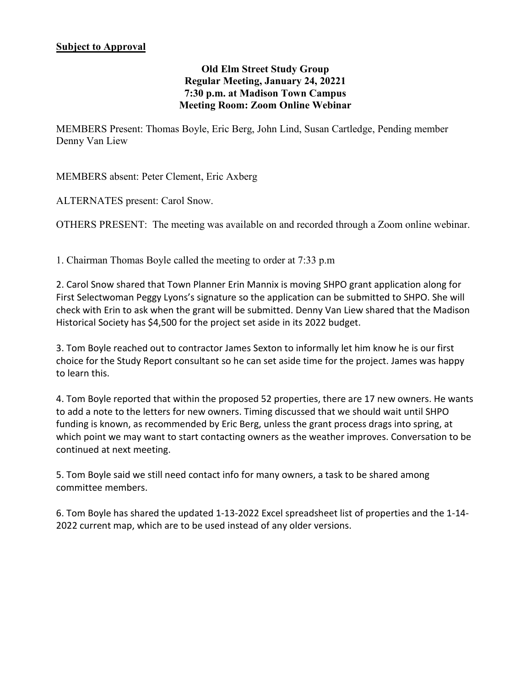## **Old Elm Street Study Group Regular Meeting, January 24, 20221 7:30 p.m. at Madison Town Campus Meeting Room: Zoom Online Webinar**

MEMBERS Present: Thomas Boyle, Eric Berg, John Lind, Susan Cartledge, Pending member Denny Van Liew

MEMBERS absent: Peter Clement, Eric Axberg

ALTERNATES present: Carol Snow.

OTHERS PRESENT: The meeting was available on and recorded through a Zoom online webinar.

1. Chairman Thomas Boyle called the meeting to order at 7:33 p.m

2. Carol Snow shared that Town Planner Erin Mannix is moving SHPO grant application along for First Selectwoman Peggy Lyons's signature so the application can be submitted to SHPO. She will check with Erin to ask when the grant will be submitted. Denny Van Liew shared that the Madison Historical Society has \$4,500 for the project set aside in its 2022 budget.

3. Tom Boyle reached out to contractor James Sexton to informally let him know he is our first choice for the Study Report consultant so he can set aside time for the project. James was happy to learn this.

4. Tom Boyle reported that within the proposed 52 properties, there are 17 new owners. He wants to add a note to the letters for new owners. Timing discussed that we should wait until SHPO funding is known, as recommended by Eric Berg, unless the grant process drags into spring, at which point we may want to start contacting owners as the weather improves. Conversation to be continued at next meeting.

5. Tom Boyle said we still need contact info for many owners, a task to be shared among committee members.

6. Tom Boyle has shared the updated 1-13-2022 Excel spreadsheet list of properties and the 1-14- 2022 current map, which are to be used instead of any older versions.